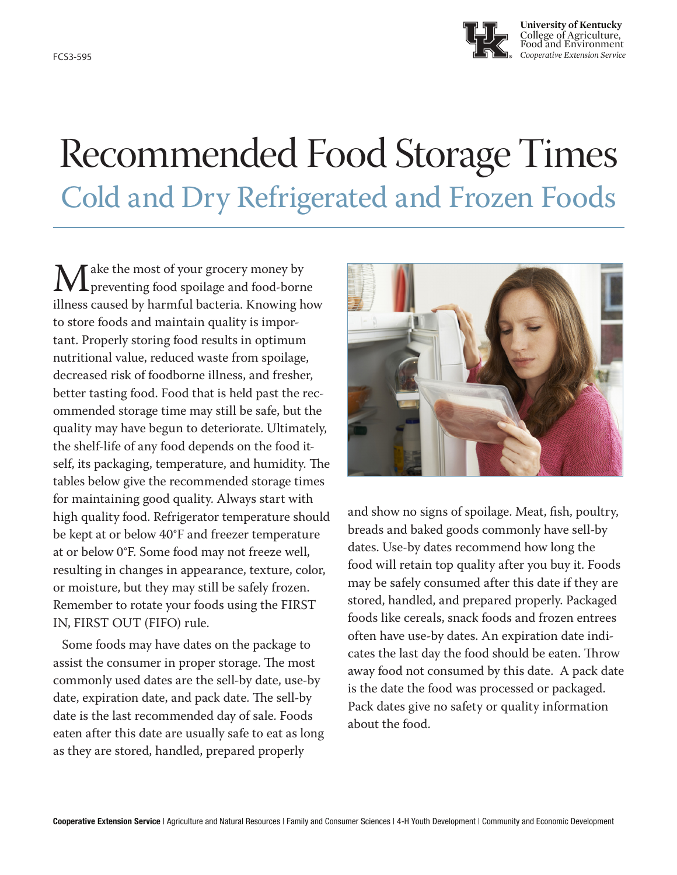

**University of Kentucky** College of Agriculture, Food and Environment FCS3-595 *Cooperative Extension Service*

## Recommended Food Storage Times Cold and Dry Refrigerated and Frozen Foods

 $\mathbf{M}^{\text{ake the most of your grocery money by}$ <br>illnoss caused by barmful bacteria. Knowing b preventing food spoilage and food-borne illness caused by harmful bacteria. Knowing how to store foods and maintain quality is important. Properly storing food results in optimum nutritional value, reduced waste from spoilage, decreased risk of foodborne illness, and fresher, better tasting food. Food that is held past the recommended storage time may still be safe, but the quality may have begun to deteriorate. Ultimately, the shelf-life of any food depends on the food itself, its packaging, temperature, and humidity. The tables below give the recommended storage times for maintaining good quality. Always start with high quality food. Refrigerator temperature should be kept at or below 40°F and freezer temperature at or below 0°F. Some food may not freeze well, resulting in changes in appearance, texture, color, or moisture, but they may still be safely frozen. Remember to rotate your foods using the FIRST IN, FIRST OUT (FIFO) rule.

Some foods may have dates on the package to assist the consumer in proper storage. The most commonly used dates are the sell-by date, use-by date, expiration date, and pack date. The sell-by date is the last recommended day of sale. Foods eaten after this date are usually safe to eat as long as they are stored, handled, prepared properly



and show no signs of spoilage. Meat, fish, poultry, breads and baked goods commonly have sell-by dates. Use-by dates recommend how long the food will retain top quality after you buy it. Foods may be safely consumed after this date if they are stored, handled, and prepared properly. Packaged foods like cereals, snack foods and frozen entrees often have use-by dates. An expiration date indicates the last day the food should be eaten. Throw away food not consumed by this date. A pack date is the date the food was processed or packaged. Pack dates give no safety or quality information about the food.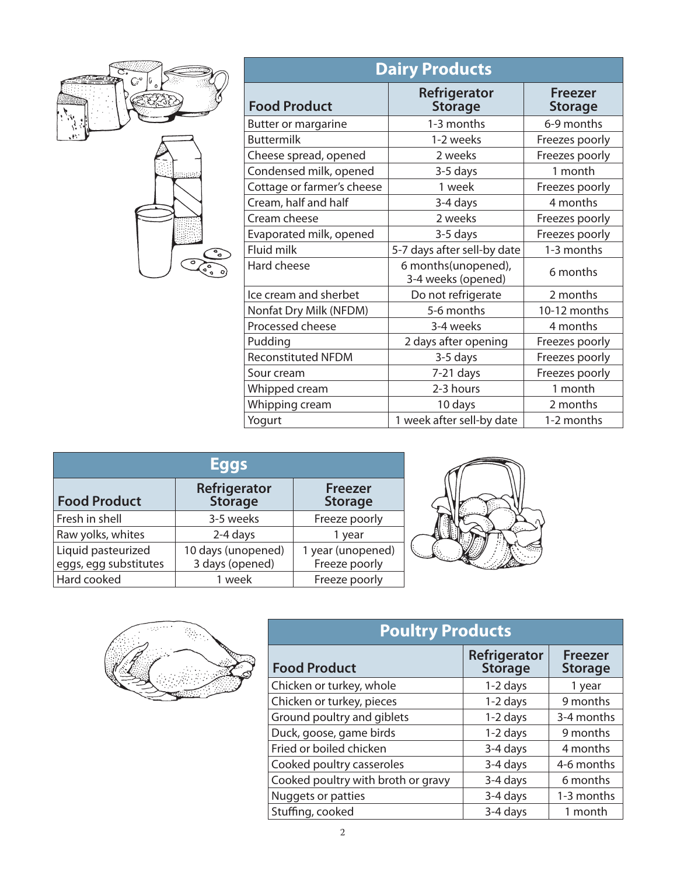

| <b>Dairy Products</b>      |                                           |                           |
|----------------------------|-------------------------------------------|---------------------------|
| <b>Food Product</b>        | Refrigerator<br><b>Storage</b>            | Freezer<br><b>Storage</b> |
| Butter or margarine        | 1-3 months                                | 6-9 months                |
| <b>Buttermilk</b>          | 1-2 weeks                                 | Freezes poorly            |
| Cheese spread, opened      | 2 weeks                                   | Freezes poorly            |
| Condensed milk, opened     | 3-5 days                                  | 1 month                   |
| Cottage or farmer's cheese | 1 week                                    | Freezes poorly            |
| Cream, half and half       | 3-4 days                                  | 4 months                  |
| Cream cheese               | 2 weeks                                   | Freezes poorly            |
| Evaporated milk, opened    | 3-5 days                                  | Freezes poorly            |
| Fluid milk                 | 5-7 days after sell-by date               | 1-3 months                |
| Hard cheese                | 6 months(unopened),<br>3-4 weeks (opened) | 6 months                  |
| Ice cream and sherbet      | Do not refrigerate                        | 2 months                  |
| Nonfat Dry Milk (NFDM)     | 5-6 months                                | 10-12 months              |
| Processed cheese           | 3-4 weeks                                 | 4 months                  |
| Pudding                    | 2 days after opening                      | Freezes poorly            |
| <b>Reconstituted NFDM</b>  | 3-5 days                                  | Freezes poorly            |
| Sour cream                 | $7-21$ days                               | Freezes poorly            |
| Whipped cream              | 2-3 hours                                 | 1 month                   |
| Whipping cream             | 10 days                                   | 2 months                  |
| Yogurt                     | 1 week after sell-by date                 | 1-2 months                |

|                                             | <b>Eggs</b>                           |                                    |  |
|---------------------------------------------|---------------------------------------|------------------------------------|--|
| <b>Food Product</b>                         | Refrigerator<br><b>Storage</b>        | <b>Freezer</b><br><b>Storage</b>   |  |
| Fresh in shell                              | 3-5 weeks                             | Freeze poorly                      |  |
| Raw yolks, whites                           | 2-4 days                              | 1 year                             |  |
| Liquid pasteurized<br>eggs, egg substitutes | 10 days (unopened)<br>3 days (opened) | 1 year (unopened)<br>Freeze poorly |  |
| Hard cooked                                 | 1 week                                | Freeze poorly                      |  |



| <b>Poultry Products</b>            |                                |                                  |
|------------------------------------|--------------------------------|----------------------------------|
| <b>Food Product</b>                | Refrigerator<br><b>Storage</b> | <b>Freezer</b><br><b>Storage</b> |
| Chicken or turkey, whole           | 1-2 days                       | 1 year                           |
| Chicken or turkey, pieces          | 1-2 days                       | 9 months                         |
| Ground poultry and giblets         | 1-2 days                       | 3-4 months                       |
| Duck, goose, game birds            | $1-2$ days                     | 9 months                         |
| Fried or boiled chicken            | 3-4 days                       | 4 months                         |
| Cooked poultry casseroles          | 3-4 days                       | 4-6 months                       |
| Cooked poultry with broth or gravy | 3-4 days                       | 6 months                         |
| Nuggets or patties                 | 3-4 days                       | 1-3 months                       |
| Stuffing, cooked                   | 3-4 days                       | 1 month                          |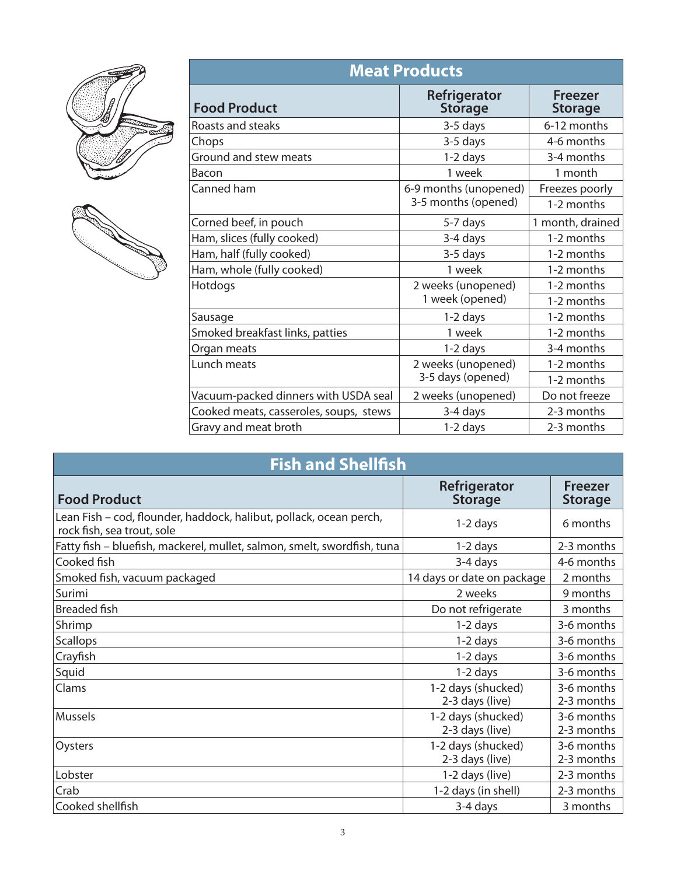



| <b>Meat Products</b>                   |                                |                                  |  |
|----------------------------------------|--------------------------------|----------------------------------|--|
| <b>Food Product</b>                    | Refrigerator<br><b>Storage</b> | <b>Freezer</b><br><b>Storage</b> |  |
| Roasts and steaks                      | 3-5 days                       | 6-12 months                      |  |
| Chops                                  | 3-5 days                       | 4-6 months                       |  |
| Ground and stew meats                  | $1-2$ days                     | 3-4 months                       |  |
| Bacon                                  | 1 week                         | 1 month                          |  |
| Canned ham                             | 6-9 months (unopened)          | Freezes poorly                   |  |
|                                        | 3-5 months (opened)            | 1-2 months                       |  |
| Corned beef, in pouch                  | 5-7 days                       | 1 month, drained                 |  |
| Ham, slices (fully cooked)             | 3-4 days                       | 1-2 months                       |  |
| Ham, half (fully cooked)               | 3-5 days                       | 1-2 months                       |  |
| Ham, whole (fully cooked)              | 1 week                         | 1-2 months                       |  |
| Hotdogs                                | 2 weeks (unopened)             | 1-2 months                       |  |
|                                        | 1 week (opened)                | 1-2 months                       |  |
| Sausage                                | 1-2 days                       | 1-2 months                       |  |
| Smoked breakfast links, patties        | 1 week                         | 1-2 months                       |  |
| Organ meats                            | 1-2 days                       | 3-4 months                       |  |
| Lunch meats                            | 2 weeks (unopened)             | 1-2 months                       |  |
|                                        | 3-5 days (opened)              | 1-2 months                       |  |
| Vacuum-packed dinners with USDA seal   | 2 weeks (unopened)             | Do not freeze                    |  |
| Cooked meats, casseroles, soups, stews | 3-4 days                       | 2-3 months                       |  |
| Gravy and meat broth                   | $1-2$ days                     | 2-3 months                       |  |

| <b>Fish and Shellfish</b>                                                                        |                                       |                           |  |
|--------------------------------------------------------------------------------------------------|---------------------------------------|---------------------------|--|
| <b>Food Product</b>                                                                              | Refrigerator<br><b>Storage</b>        | Freezer<br><b>Storage</b> |  |
| Lean Fish – cod, flounder, haddock, halibut, pollack, ocean perch,<br>rock fish, sea trout, sole | $1-2$ days                            | 6 months                  |  |
| Fatty fish - bluefish, mackerel, mullet, salmon, smelt, swordfish, tuna                          | $1-2$ days                            | 2-3 months                |  |
| Cooked fish                                                                                      | 3-4 days                              | 4-6 months                |  |
| Smoked fish, vacuum packaged                                                                     | 14 days or date on package            | 2 months                  |  |
| Surimi                                                                                           | 2 weeks                               | 9 months                  |  |
| Breaded fish                                                                                     | Do not refrigerate                    | 3 months                  |  |
| Shrimp                                                                                           | $1-2$ days                            | 3-6 months                |  |
| <b>Scallops</b>                                                                                  | $1-2$ days                            | 3-6 months                |  |
| Crayfish                                                                                         | $1-2$ days                            | 3-6 months                |  |
| Squid                                                                                            | 1-2 days                              | 3-6 months                |  |
| Clams                                                                                            | 1-2 days (shucked)<br>2-3 days (live) | 3-6 months<br>2-3 months  |  |
| <b>Mussels</b>                                                                                   | 1-2 days (shucked)<br>2-3 days (live) | 3-6 months<br>2-3 months  |  |
| Oysters                                                                                          | 1-2 days (shucked)<br>2-3 days (live) | 3-6 months<br>2-3 months  |  |
| Lobster                                                                                          | 1-2 days (live)                       | 2-3 months                |  |
| Crab                                                                                             | 1-2 days (in shell)                   | 2-3 months                |  |
| Cooked shellfish                                                                                 | 3-4 days                              | 3 months                  |  |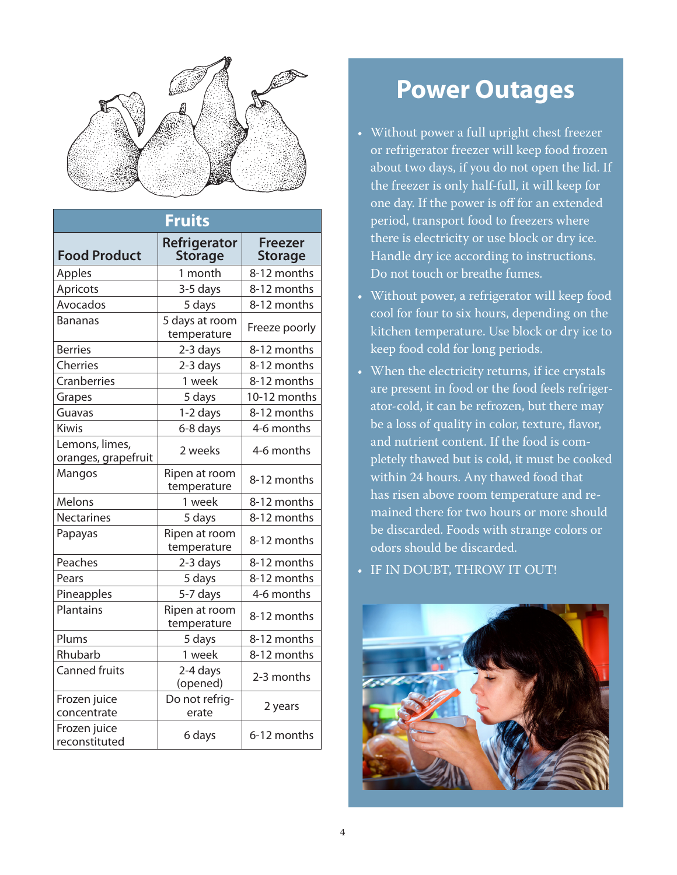

| <b>Fruits</b>                         |                                |                                  |
|---------------------------------------|--------------------------------|----------------------------------|
| <b>Food Product</b>                   | Refrigerator<br><b>Storage</b> | <b>Freezer</b><br><b>Storage</b> |
| Apples                                | 1 month                        | 8-12 months                      |
| Apricots                              | 3-5 days                       | 8-12 months                      |
| Avocados                              | 5 days                         | 8-12 months                      |
| <b>Bananas</b>                        | 5 days at room<br>temperature  | Freeze poorly                    |
| <b>Berries</b>                        | 2-3 days                       | 8-12 months                      |
| Cherries                              | 2-3 days                       | 8-12 months                      |
| Cranberries                           | 1 week                         | 8-12 months                      |
| Grapes                                | 5 days                         | 10-12 months                     |
| Guavas                                | 1-2 days                       | 8-12 months                      |
| <b>Kiwis</b>                          | 6-8 days                       | 4-6 months                       |
| Lemons, limes,<br>oranges, grapefruit | 2 weeks                        | 4-6 months                       |
| Mangos                                | Ripen at room<br>temperature   | 8-12 months                      |
| Melons                                | 1 week                         | 8-12 months                      |
| <b>Nectarines</b>                     | 5 days                         | 8-12 months                      |
| Papayas                               | Ripen at room<br>temperature   | 8-12 months                      |
| Peaches                               | 2-3 days                       | 8-12 months                      |
| Pears                                 | 5 days                         | 8-12 months                      |
| Pineapples                            | 5-7 days                       | 4-6 months                       |
| <b>Plantains</b>                      | Ripen at room<br>temperature   | 8-12 months                      |
| Plums                                 | 5 days                         | 8-12 months                      |
| Rhubarb                               | 1 week                         | 8-12 months                      |
| <b>Canned fruits</b>                  | 2-4 days<br>(opened)           | 2-3 months                       |
| Frozen juice<br>concentrate           | Do not refrig-<br>erate        | 2 years                          |
| Frozen juice<br>reconstituted         | 6 days                         | 6-12 months                      |

## **Power Outages**

- Without power a full upright chest freezer or refrigerator freezer will keep food frozen about two days, if you do not open the lid. If the freezer is only half-full, it will keep for one day. If the power is off for an extended period, transport food to freezers where there is electricity or use block or dry ice. Handle dry ice according to instructions. Do not touch or breathe fumes.
- Without power, a refrigerator will keep food cool for four to six hours, depending on the kitchen temperature. Use block or dry ice to keep food cold for long periods.
- When the electricity returns, if ice crystals are present in food or the food feels refrigerator-cold, it can be refrozen, but there may be a loss of quality in color, texture, flavor, and nutrient content. If the food is completely thawed but is cold, it must be cooked within 24 hours. Any thawed food that has risen above room temperature and remained there for two hours or more should be discarded. Foods with strange colors or odors should be discarded.
- IF IN DOUBT, THROW IT OUT!

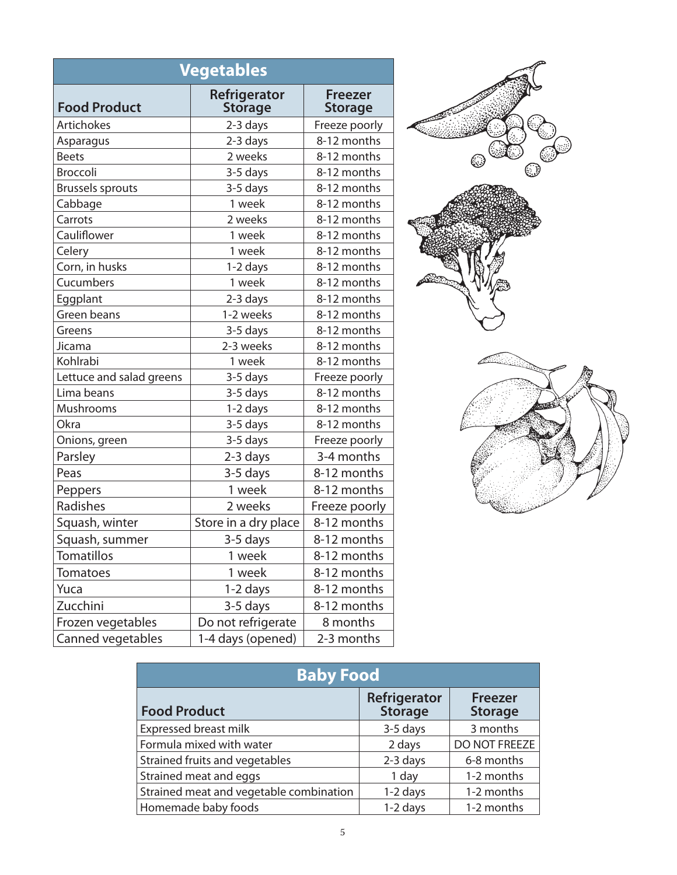| <b>Vegetables</b>        |                                |                                  |
|--------------------------|--------------------------------|----------------------------------|
| <b>Food Product</b>      | Refrigerator<br><b>Storage</b> | <b>Freezer</b><br><b>Storage</b> |
| <b>Artichokes</b>        | 2-3 days                       | Freeze poorly                    |
| Asparagus                | 2-3 days                       | 8-12 months                      |
| <b>Beets</b>             | 2 weeks                        | 8-12 months                      |
| <b>Broccoli</b>          | 3-5 days                       | 8-12 months                      |
| <b>Brussels sprouts</b>  | 3-5 days                       | 8-12 months                      |
| Cabbage                  | 1 week                         | 8-12 months                      |
| Carrots                  | 2 weeks                        | 8-12 months                      |
| Cauliflower              | 1 week                         | 8-12 months                      |
| Celery                   | 1 week                         | 8-12 months                      |
| Corn, in husks           | 1-2 days                       | 8-12 months                      |
| Cucumbers                | 1 week                         | 8-12 months                      |
| Eggplant                 | 2-3 days                       | 8-12 months                      |
| Green beans              | 1-2 weeks                      | 8-12 months                      |
| Greens                   | 3-5 days                       | 8-12 months                      |
| Jicama                   | 2-3 weeks                      | 8-12 months                      |
| Kohlrabi                 | 1 week                         | 8-12 months                      |
| Lettuce and salad greens | 3-5 days                       | Freeze poorly                    |
| Lima beans               | 3-5 days                       | 8-12 months                      |
| Mushrooms                | 1-2 days                       | 8-12 months                      |
| <b>Okra</b>              | 3-5 days                       | 8-12 months                      |
| Onions, green            | 3-5 days                       | Freeze poorly                    |
| Parsley                  | 2-3 days                       | 3-4 months                       |
| Peas                     | 3-5 days                       | 8-12 months                      |
| Peppers                  | 1 week                         | 8-12 months                      |
| Radishes                 | 2 weeks                        | Freeze poorly                    |
| Squash, winter           | Store in a dry place           | 8-12 months                      |
| Squash, summer           | 3-5 days                       | 8-12 months                      |
| Tomatillos               | 1 week                         | 8-12 months                      |
| <b>Tomatoes</b>          | 1 week                         | 8-12 months                      |
| Yuca                     | 1-2 days                       | 8-12 months                      |
| Zucchini                 | 3-5 days                       | 8-12 months                      |
| Frozen vegetables        | Do not refrigerate             | 8 months                         |
| Canned vegetables        | 1-4 days (opened)              | 2-3 months                       |





| <b>Baby Food</b>                        |                                |                                  |
|-----------------------------------------|--------------------------------|----------------------------------|
| <b>Food Product</b>                     | Refrigerator<br><b>Storage</b> | <b>Freezer</b><br><b>Storage</b> |
| <b>Expressed breast milk</b>            | 3-5 days                       | 3 months                         |
| Formula mixed with water                | 2 days                         | DO NOT FREEZE                    |
| Strained fruits and vegetables          | 2-3 days                       | 6-8 months                       |
| Strained meat and eggs                  | 1 day                          | 1-2 months                       |
| Strained meat and vegetable combination | 1-2 days                       | 1-2 months                       |
| Homemade baby foods                     | 1-2 days                       | 1-2 months                       |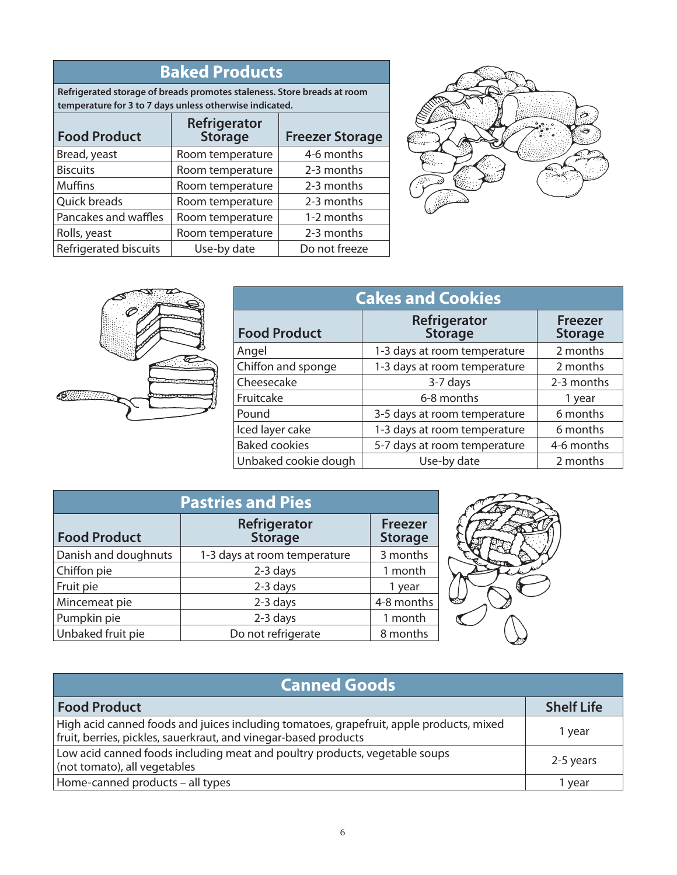| <b>Baked Products</b> |
|-----------------------|
|-----------------------|

**Refrigerated storage of breads promotes staleness. Store breads at room temperature for 3 to 7 days unless otherwise indicated.**

| <b>Food Product</b>   | Refrigerator<br><b>Storage</b> | <b>Freezer Storage</b> |
|-----------------------|--------------------------------|------------------------|
| Bread, yeast          | Room temperature               | 4-6 months             |
| <b>Biscuits</b>       | Room temperature               | 2-3 months             |
| <b>Muffins</b>        | Room temperature               | 2-3 months             |
| Quick breads          | Room temperature               | 2-3 months             |
| Pancakes and waffles  | Room temperature               | 1-2 months             |
| Rolls, yeast          | Room temperature               | 2-3 months             |
| Refrigerated biscuits | Use-by date                    | Do not freeze          |





| <b>Cakes and Cookies</b> |                                |                                  |
|--------------------------|--------------------------------|----------------------------------|
| <b>Food Product</b>      | Refrigerator<br><b>Storage</b> | <b>Freezer</b><br><b>Storage</b> |
| Angel                    | 1-3 days at room temperature   | 2 months                         |
| Chiffon and sponge       | 1-3 days at room temperature   | 2 months                         |
| Cheesecake               | 3-7 days                       | 2-3 months                       |
| Fruitcake                | 6-8 months                     | 1 year                           |
| Pound                    | 3-5 days at room temperature   | 6 months                         |
| Iced layer cake          | 1-3 days at room temperature   | 6 months                         |
| <b>Baked cookies</b>     | 5-7 days at room temperature   | 4-6 months                       |
| Unbaked cookie dough     | Use-by date                    | 2 months                         |

| <b>Pastries and Pies</b> |                                |                                  |
|--------------------------|--------------------------------|----------------------------------|
| <b>Food Product</b>      | Refrigerator<br><b>Storage</b> | <b>Freezer</b><br><b>Storage</b> |
| Danish and doughnuts     | 1-3 days at room temperature   | 3 months                         |
| Chiffon pie              | 2-3 days                       | 1 month                          |
| Fruit pie                | 2-3 days                       | 1 year                           |
| Mincemeat pie            | 2-3 days                       | 4-8 months                       |
| Pumpkin pie              | 2-3 days                       | 1 month                          |
| Unbaked fruit pie        | Do not refrigerate             | 8 months                         |



| <b>Canned Goods</b>                                                                                                                                        |                   |  |  |
|------------------------------------------------------------------------------------------------------------------------------------------------------------|-------------------|--|--|
| <b>Food Product</b>                                                                                                                                        | <b>Shelf Life</b> |  |  |
| High acid canned foods and juices including tomatoes, grapefruit, apple products, mixed<br>fruit, berries, pickles, sauerkraut, and vinegar-based products | vear              |  |  |
| Low acid canned foods including meat and poultry products, vegetable soups<br>(not tomato), all vegetables                                                 | 2-5 years         |  |  |
| Home-canned products - all types                                                                                                                           | vear              |  |  |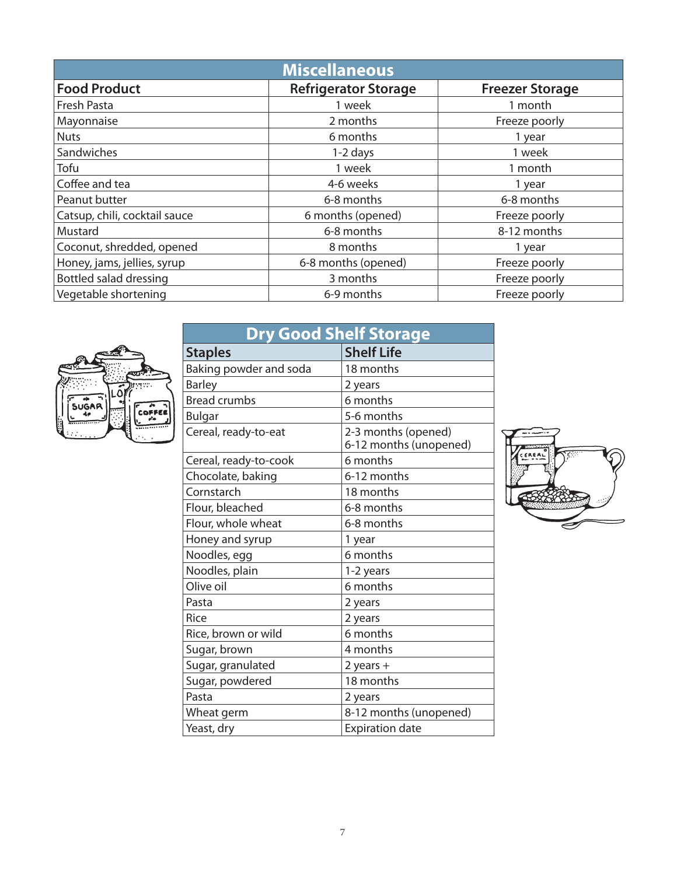| <b>Miscellaneous</b>          |                             |                        |  |
|-------------------------------|-----------------------------|------------------------|--|
| <b>Food Product</b>           | <b>Refrigerator Storage</b> | <b>Freezer Storage</b> |  |
| Fresh Pasta                   | 1 week                      | 1 month                |  |
| Mayonnaise                    | 2 months                    | Freeze poorly          |  |
| <b>Nuts</b>                   | 6 months                    | 1 year                 |  |
| Sandwiches                    | $1-2$ days                  | 1 week                 |  |
| Tofu                          | 1 week                      | 1 month                |  |
| Coffee and tea                | 4-6 weeks                   | 1 year                 |  |
| Peanut butter                 | 6-8 months                  | 6-8 months             |  |
| Catsup, chili, cocktail sauce | 6 months (opened)           | Freeze poorly          |  |
| Mustard                       | 6-8 months                  | 8-12 months            |  |
| Coconut, shredded, opened     | 8 months                    | 1 year                 |  |
| Honey, jams, jellies, syrup   | 6-8 months (opened)         | Freeze poorly          |  |
| Bottled salad dressing        | 3 months                    | Freeze poorly          |  |
| Vegetable shortening          | 6-9 months                  | Freeze poorly          |  |



| <b>Dry Good Shelf Storage</b> |                                               |  |  |
|-------------------------------|-----------------------------------------------|--|--|
| <b>Staples</b>                | <b>Shelf Life</b>                             |  |  |
| Baking powder and soda        | 18 months                                     |  |  |
| <b>Barley</b>                 | 2 years                                       |  |  |
| <b>Bread crumbs</b>           | 6 months                                      |  |  |
| <b>Bulgar</b>                 | 5-6 months                                    |  |  |
| Cereal, ready-to-eat          | 2-3 months (opened)<br>6-12 months (unopened) |  |  |
| Cereal, ready-to-cook         | 6 months                                      |  |  |
| Chocolate, baking             | 6-12 months                                   |  |  |
| Cornstarch                    | 18 months                                     |  |  |
| Flour, bleached               | 6-8 months                                    |  |  |
| Flour, whole wheat            | 6-8 months                                    |  |  |
| Honey and syrup               | 1 year                                        |  |  |
| Noodles, egg                  | 6 months                                      |  |  |
| Noodles, plain                | 1-2 years                                     |  |  |
| Olive oil                     | 6 months                                      |  |  |
| Pasta                         | 2 years                                       |  |  |
| Rice                          | 2 years                                       |  |  |
| Rice, brown or wild           | 6 months                                      |  |  |
| Sugar, brown                  | 4 months                                      |  |  |
| Sugar, granulated             | $2$ years $+$                                 |  |  |
| Sugar, powdered               | 18 months                                     |  |  |
| Pasta                         | 2 years                                       |  |  |
| Wheat germ                    | 8-12 months (unopened)                        |  |  |
| Yeast, dry                    | <b>Expiration date</b>                        |  |  |